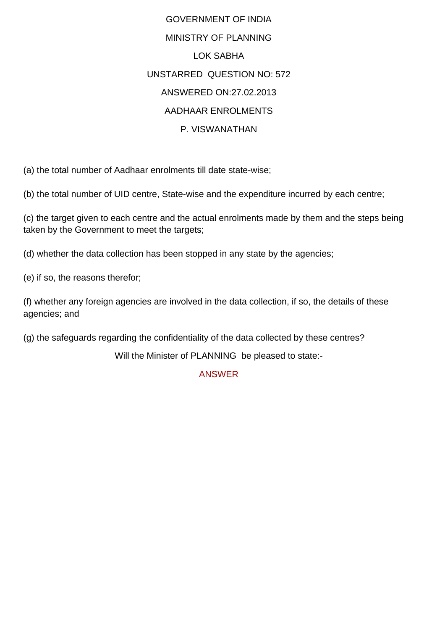GOVERNMENT OF INDIA MINISTRY OF PLANNING LOK SABHA UNSTARRED QUESTION NO: 572 ANSWERED ON:27.02.2013 AADHAAR ENROLMENTS P. VISWANATHAN

(a) the total number of Aadhaar enrolments till date state-wise;

(b) the total number of UID centre, State-wise and the expenditure incurred by each centre;

(c) the target given to each centre and the actual enrolments made by them and the steps being taken by the Government to meet the targets;

(d) whether the data collection has been stopped in any state by the agencies;

(e) if so, the reasons therefor;

(f) whether any foreign agencies are involved in the data collection, if so, the details of these agencies; and

(g) the safeguards regarding the confidentiality of the data collected by these centres?

Will the Minister of PLANNING be pleased to state:-

ANSWER